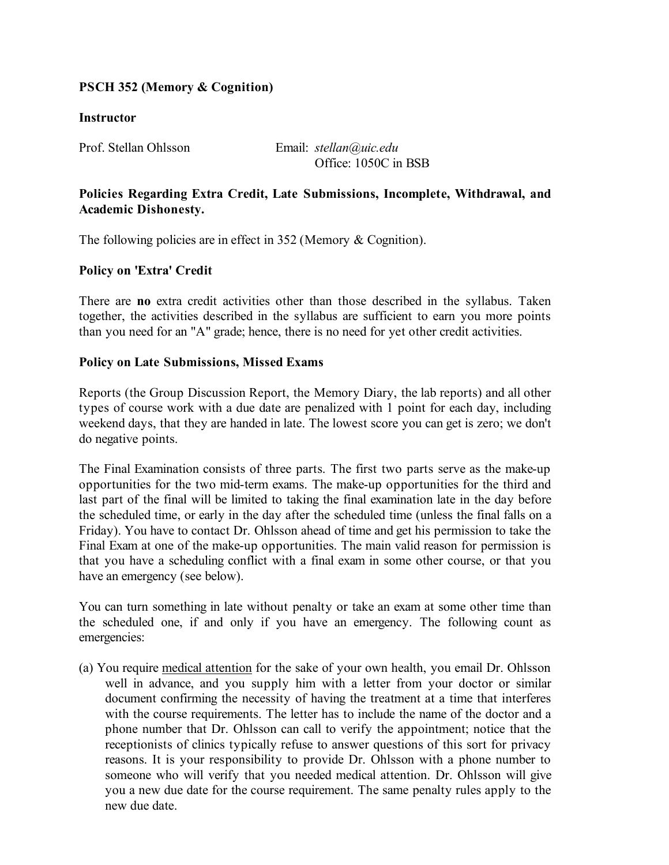# **PSCH 352 (Memory & Cognition)**

## **Instructor**

Prof. Stellan Ohlsson Email: *stellan@uic.edu* Office: 1050C in BSB

# **Policies Regarding Extra Credit, Late Submissions, Incomplete, Withdrawal, and Academic Dishonesty.**

The following policies are in effect in 352 (Memory & Cognition).

## **Policy on 'Extra' Credit**

There are **no** extra credit activities other than those described in the syllabus. Taken together, the activities described in the syllabus are sufficient to earn you more points than you need for an "A" grade; hence, there is no need for yet other credit activities.

## **Policy on Late Submissions, Missed Exams**

Reports (the Group Discussion Report, the Memory Diary, the lab reports) and all other types of course work with a due date are penalized with 1 point for each day, including weekend days, that they are handed in late. The lowest score you can get is zero; we don't do negative points.

The Final Examination consists of three parts. The first two parts serve as the make-up opportunities for the two mid-term exams. The make-up opportunities for the third and last part of the final will be limited to taking the final examination late in the day before the scheduled time, or early in the day after the scheduled time (unless the final falls on a Friday). You have to contact Dr. Ohlsson ahead of time and get his permission to take the Final Exam at one of the make-up opportunities. The main valid reason for permission is that you have a scheduling conflict with a final exam in some other course, or that you have an emergency (see below).

You can turn something in late without penalty or take an exam at some other time than the scheduled one, if and only if you have an emergency. The following count as emergencies:

(a) You require medical attention for the sake of your own health, you email Dr. Ohlsson well in advance, and you supply him with a letter from your doctor or similar document confirming the necessity of having the treatment at a time that interferes with the course requirements. The letter has to include the name of the doctor and a phone number that Dr. Ohlsson can call to verify the appointment; notice that the receptionists of clinics typically refuse to answer questions of this sort for privacy reasons. It is your responsibility to provide Dr. Ohlsson with a phone number to someone who will verify that you needed medical attention. Dr. Ohlsson will give you a new due date for the course requirement. The same penalty rules apply to the new due date.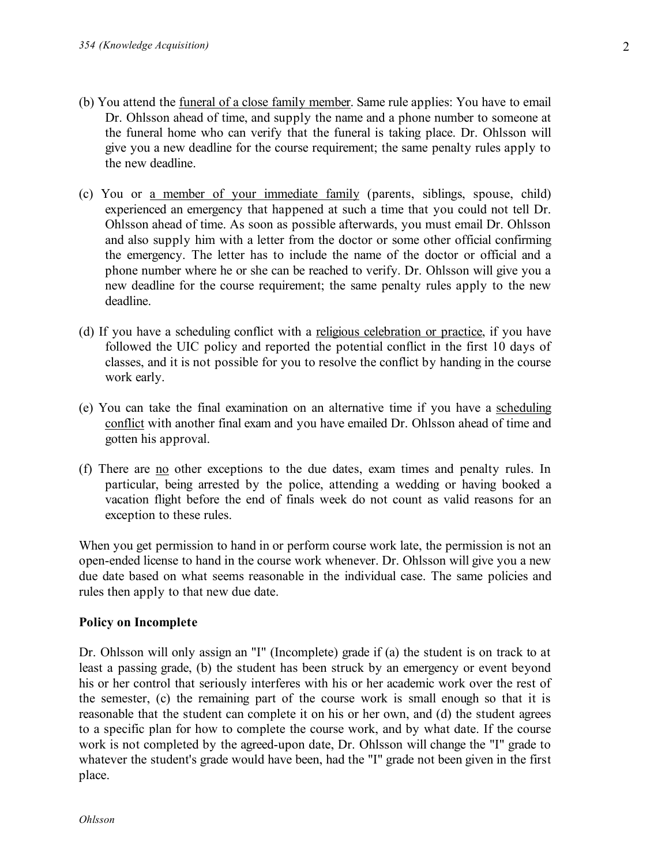- (b) You attend the funeral of a close family member. Same rule applies: You have to email Dr. Ohlsson ahead of time, and supply the name and a phone number to someone at the funeral home who can verify that the funeral is taking place. Dr. Ohlsson will give you a new deadline for the course requirement; the same penalty rules apply to the new deadline.
- (c) You or a member of your immediate family (parents, siblings, spouse, child) experienced an emergency that happened at such a time that you could not tell Dr. Ohlsson ahead of time. As soon as possible afterwards, you must email Dr. Ohlsson and also supply him with a letter from the doctor or some other official confirming the emergency. The letter has to include the name of the doctor or official and a phone number where he or she can be reached to verify. Dr. Ohlsson will give you a new deadline for the course requirement; the same penalty rules apply to the new deadline.
- (d) If you have a scheduling conflict with a religious celebration or practice, if you have followed the UIC policy and reported the potential conflict in the first 10 days of classes, and it is not possible for you to resolve the conflict by handing in the course work early.
- (e) You can take the final examination on an alternative time if you have a scheduling conflict with another final exam and you have emailed Dr. Ohlsson ahead of time and gotten his approval.
- (f) There are no other exceptions to the due dates, exam times and penalty rules. In particular, being arrested by the police, attending a wedding or having booked a vacation flight before the end of finals week do not count as valid reasons for an exception to these rules.

When you get permission to hand in or perform course work late, the permission is not an open-ended license to hand in the course work whenever. Dr. Ohlsson will give you a new due date based on what seems reasonable in the individual case. The same policies and rules then apply to that new due date.

### **Policy on Incomplete**

Dr. Ohlsson will only assign an "I" (Incomplete) grade if (a) the student is on track to at least a passing grade, (b) the student has been struck by an emergency or event beyond his or her control that seriously interferes with his or her academic work over the rest of the semester, (c) the remaining part of the course work is small enough so that it is reasonable that the student can complete it on his or her own, and (d) the student agrees to a specific plan for how to complete the course work, and by what date. If the course work is not completed by the agreed-upon date, Dr. Ohlsson will change the "I" grade to whatever the student's grade would have been, had the "I" grade not been given in the first place.